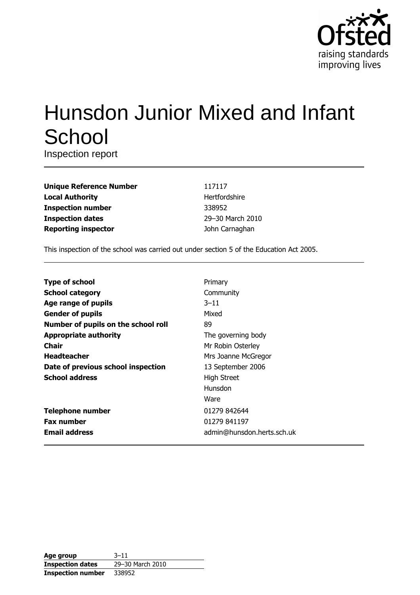

# **Hunsdon Junior Mixed and Infant** School

Inspection report

| <b>Unique Reference Number</b> |
|--------------------------------|
| <b>Local Authority</b>         |
| <b>Inspection number</b>       |
| <b>Inspection dates</b>        |
| <b>Reporting inspector</b>     |

117117 Hertfordshire 338952 29-30 March 2010 John Carnaghan

This inspection of the school was carried out under section 5 of the Education Act 2005.

| <b>Type of school</b>               | Primary                    |
|-------------------------------------|----------------------------|
| <b>School category</b>              | Community                  |
| Age range of pupils                 | $3 - 11$                   |
| <b>Gender of pupils</b>             | Mixed                      |
| Number of pupils on the school roll | 89                         |
| <b>Appropriate authority</b>        | The governing body         |
| Chair                               | Mr Robin Osterley          |
| <b>Headteacher</b>                  | Mrs Joanne McGregor        |
| Date of previous school inspection  | 13 September 2006          |
| <b>School address</b>               | <b>High Street</b>         |
|                                     | Hunsdon                    |
|                                     | Ware                       |
| <b>Telephone number</b>             | 01279 842644               |
| <b>Fax number</b>                   | 01279 841197               |
| <b>Email address</b>                | admin@hunsdon.herts.sch.uk |

| Age group                | $3 - 11$         |
|--------------------------|------------------|
| <b>Inspection dates</b>  | 29-30 March 2010 |
| <b>Inspection number</b> | 338952           |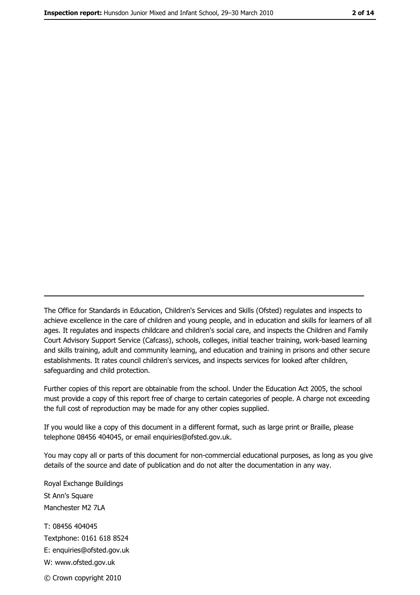The Office for Standards in Education, Children's Services and Skills (Ofsted) regulates and inspects to achieve excellence in the care of children and young people, and in education and skills for learners of all ages. It regulates and inspects childcare and children's social care, and inspects the Children and Family Court Advisory Support Service (Cafcass), schools, colleges, initial teacher training, work-based learning and skills training, adult and community learning, and education and training in prisons and other secure establishments. It rates council children's services, and inspects services for looked after children, safequarding and child protection.

Further copies of this report are obtainable from the school. Under the Education Act 2005, the school must provide a copy of this report free of charge to certain categories of people. A charge not exceeding the full cost of reproduction may be made for any other copies supplied.

If you would like a copy of this document in a different format, such as large print or Braille, please telephone 08456 404045, or email enquiries@ofsted.gov.uk.

You may copy all or parts of this document for non-commercial educational purposes, as long as you give details of the source and date of publication and do not alter the documentation in any way.

Royal Exchange Buildings St Ann's Square Manchester M2 7LA T: 08456 404045 Textphone: 0161 618 8524 E: enquiries@ofsted.gov.uk W: www.ofsted.gov.uk © Crown copyright 2010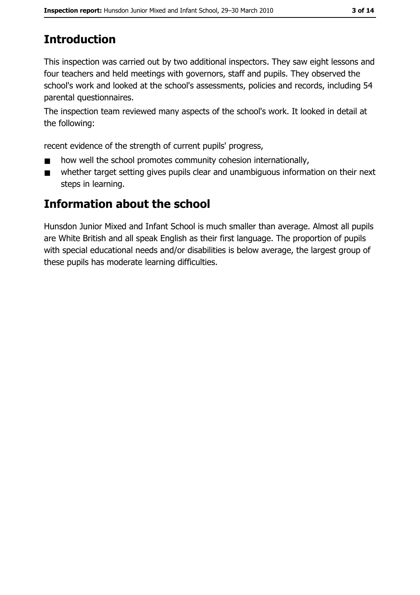# **Introduction**

This inspection was carried out by two additional inspectors. They saw eight lessons and four teachers and held meetings with governors, staff and pupils. They observed the school's work and looked at the school's assessments, policies and records, including 54 parental questionnaires.

The inspection team reviewed many aspects of the school's work. It looked in detail at the following:

recent evidence of the strength of current pupils' progress,

- how well the school promotes community cohesion internationally,  $\blacksquare$
- whether target setting gives pupils clear and unambiguous information on their next  $\blacksquare$ steps in learning.

# **Information about the school**

Hunsdon Junior Mixed and Infant School is much smaller than average. Almost all pupils are White British and all speak English as their first language. The proportion of pupils with special educational needs and/or disabilities is below average, the largest group of these pupils has moderate learning difficulties.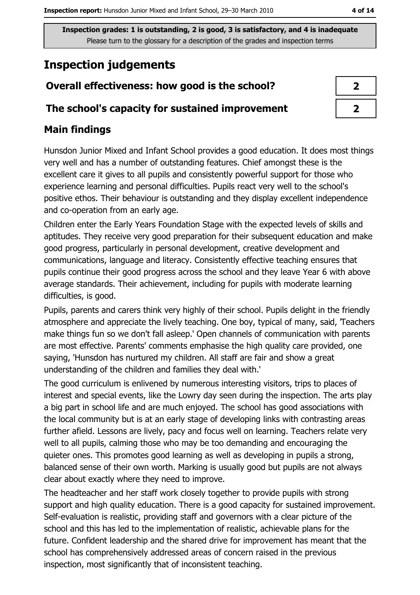# **Inspection judgements**

# Overall effectiveness: how good is the school?

### The school's capacity for sustained improvement

# **Main findings**

Hunsdon Junior Mixed and Infant School provides a good education. It does most things very well and has a number of outstanding features. Chief amongst these is the excellent care it gives to all pupils and consistently powerful support for those who experience learning and personal difficulties. Pupils react very well to the school's positive ethos. Their behaviour is outstanding and they display excellent independence and co-operation from an early age.

Children enter the Early Years Foundation Stage with the expected levels of skills and aptitudes. They receive very good preparation for their subsequent education and make good progress, particularly in personal development, creative development and communications, language and literacy. Consistently effective teaching ensures that pupils continue their good progress across the school and they leave Year 6 with above average standards. Their achievement, including for pupils with moderate learning difficulties, is good.

Pupils, parents and carers think very highly of their school. Pupils delight in the friendly atmosphere and appreciate the lively teaching. One boy, typical of many, said, Teachers make things fun so we don't fall as leep. Open channels of communication with parents are most effective. Parents' comments emphasise the high quality care provided, one saying, 'Hunsdon has nurtured my children. All staff are fair and show a great understanding of the children and families they deal with."

The good curriculum is enlivened by numerous interesting visitors, trips to places of interest and special events, like the Lowry day seen during the inspection. The arts play a big part in school life and are much enjoyed. The school has good associations with the local community but is at an early stage of developing links with contrasting areas further afield. Lessons are lively, pacy and focus well on learning. Teachers relate very well to all pupils, calming those who may be too demanding and encouraging the quieter ones. This promotes good learning as well as developing in pupils a strong, balanced sense of their own worth. Marking is usually good but pupils are not always clear about exactly where they need to improve.

The headteacher and her staff work closely together to provide pupils with strong support and high quality education. There is a good capacity for sustained improvement. Self-evaluation is realistic, providing staff and governors with a clear picture of the school and this has led to the implementation of realistic, achievable plans for the future. Confident leadership and the shared drive for improvement has meant that the school has comprehensively addressed areas of concern raised in the previous inspection, most significantly that of inconsistent teaching.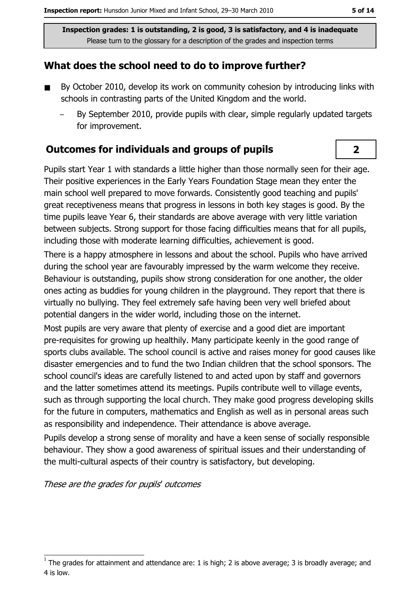## What does the school need to do to improve further?

- By October 2010, develop its work on community cohesion by introducing links with  $\blacksquare$ schools in contrasting parts of the United Kingdom and the world.
	- By September 2010, provide pupils with clear, simple regularly updated targets for improvement.

## **Outcomes for individuals and groups of pupils**

Pupils start Year 1 with standards a little higher than those normally seen for their age. Their positive experiences in the Early Years Foundation Stage mean they enter the main school well prepared to move forwards. Consistently good teaching and pupils' great receptiveness means that progress in lessons in both key stages is good. By the time pupils leave Year 6, their standards are above average with very little variation between subjects. Strong support for those facing difficulties means that for all pupils, including those with moderate learning difficulties, achievement is good.

There is a happy atmosphere in lessons and about the school. Pupils who have arrived during the school year are favourably impressed by the warm welcome they receive. Behaviour is outstanding, pupils show strong consideration for one another, the older ones acting as buddies for young children in the playground. They report that there is virtually no bullying. They feel extremely safe having been very well briefed about potential dangers in the wider world, including those on the internet.

Most pupils are very aware that plenty of exercise and a good diet are important pre-requisites for growing up healthily. Many participate keenly in the good range of sports clubs available. The school council is active and raises money for good causes like disaster emergencies and to fund the two Indian children that the school sponsors. The school council's ideas are carefully listened to and acted upon by staff and governors and the latter sometimes attend its meetings. Pupils contribute well to village events, such as through supporting the local church. They make good progress developing skills for the future in computers, mathematics and English as well as in personal areas such as responsibility and independence. Their attendance is above average.

Pupils develop a strong sense of morality and have a keen sense of socially responsible behaviour. They show a good awareness of spiritual issues and their understanding of the multi-cultural aspects of their country is satisfactory, but developing.

These are the grades for pupils' outcomes

 $\overline{2}$ 

The grades for attainment and attendance are: 1 is high; 2 is above average; 3 is broadly average; and 4 is low.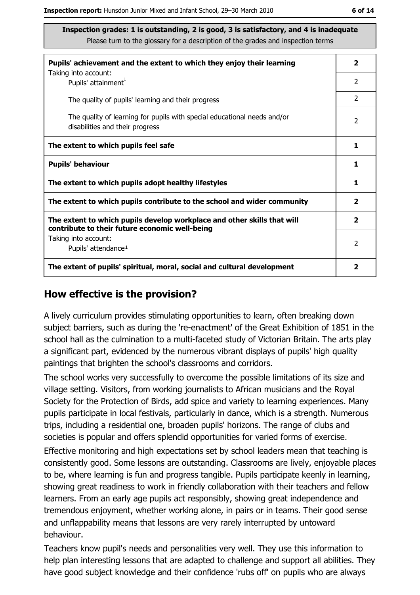| Pupils' achievement and the extent to which they enjoy their learning                                                     | $\overline{\mathbf{2}}$ |
|---------------------------------------------------------------------------------------------------------------------------|-------------------------|
| Taking into account:<br>Pupils' attainment <sup>1</sup>                                                                   | $\overline{2}$          |
| The quality of pupils' learning and their progress                                                                        | $\overline{2}$          |
| The quality of learning for pupils with special educational needs and/or<br>disabilities and their progress               | 2                       |
| The extent to which pupils feel safe                                                                                      | 1                       |
| <b>Pupils' behaviour</b>                                                                                                  | 1                       |
| The extent to which pupils adopt healthy lifestyles                                                                       | 1                       |
| The extent to which pupils contribute to the school and wider community                                                   | $\overline{\mathbf{2}}$ |
| The extent to which pupils develop workplace and other skills that will<br>contribute to their future economic well-being | $\overline{\mathbf{2}}$ |
| Taking into account:<br>Pupils' attendance <sup>1</sup>                                                                   | $\overline{2}$          |
| The extent of pupils' spiritual, moral, social and cultural development                                                   | 2                       |

#### How effective is the provision?

A lively curriculum provides stimulating opportunities to learn, often breaking down subject barriers, such as during the 're-enactment' of the Great Exhibition of 1851 in the school hall as the culmination to a multi-faceted study of Victorian Britain. The arts play a significant part, evidenced by the numerous vibrant displays of pupils' high quality paintings that brighten the school's classrooms and corridors.

The school works very successfully to overcome the possible limitations of its size and village setting. Visitors, from working journalists to African musicians and the Royal Society for the Protection of Birds, add spice and variety to learning experiences. Many pupils participate in local festivals, particularly in dance, which is a strength. Numerous trips, including a residential one, broaden pupils' horizons. The range of clubs and societies is popular and offers splendid opportunities for varied forms of exercise.

Effective monitoring and high expectations set by school leaders mean that teaching is consistently good. Some lessons are outstanding. Classrooms are lively, enjoyable places to be, where learning is fun and progress tangible. Pupils participate keenly in learning, showing great readiness to work in friendly collaboration with their teachers and fellow learners. From an early age pupils act responsibly, showing great independence and tremendous enjoyment, whether working alone, in pairs or in teams. Their good sense and unflappability means that lessons are very rarely interrupted by untoward behaviour.

Teachers know pupil's needs and personalities very well. They use this information to help plan interesting lessons that are adapted to challenge and support all abilities. They have good subject knowledge and their confidence 'rubs off' on pupils who are always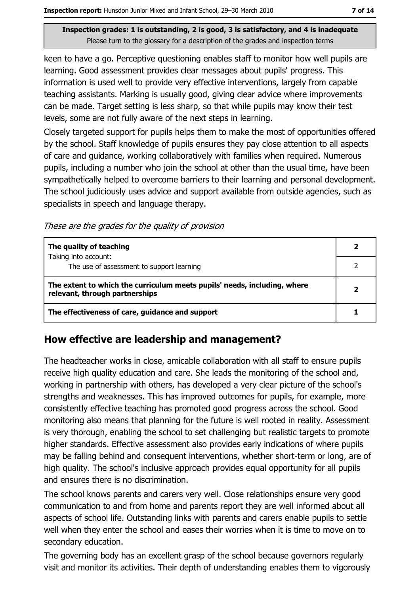keen to have a go. Perceptive guestioning enables staff to monitor how well pupils are learning. Good assessment provides clear messages about pupils' progress. This information is used well to provide very effective interventions, largely from capable teaching assistants. Marking is usually good, giving clear advice where improvements can be made. Target setting is less sharp, so that while pupils may know their test levels, some are not fully aware of the next steps in learning.

Closely targeted support for pupils helps them to make the most of opportunities offered by the school. Staff knowledge of pupils ensures they pay close attention to all aspects of care and guidance, working collaboratively with families when required. Numerous pupils, including a number who join the school at other than the usual time, have been sympathetically helped to overcome barriers to their learning and personal development. The school judiciously uses advice and support available from outside agencies, such as specialists in speech and language therapy.

These are the grades for the quality of provision

| The quality of teaching                                                                                    |  |
|------------------------------------------------------------------------------------------------------------|--|
| Taking into account:<br>The use of assessment to support learning                                          |  |
| The extent to which the curriculum meets pupils' needs, including, where<br>relevant, through partnerships |  |
| The effectiveness of care, guidance and support                                                            |  |

# How effective are leadership and management?

The headteacher works in close, amicable collaboration with all staff to ensure pupils receive high quality education and care. She leads the monitoring of the school and, working in partnership with others, has developed a very clear picture of the school's strengths and weaknesses. This has improved outcomes for pupils, for example, more consistently effective teaching has promoted good progress across the school. Good monitoring also means that planning for the future is well rooted in reality. Assessment is very thorough, enabling the school to set challenging but realistic targets to promote higher standards. Effective assessment also provides early indications of where pupils may be falling behind and consequent interventions, whether short-term or long, are of high quality. The school's inclusive approach provides equal opportunity for all pupils and ensures there is no discrimination.

The school knows parents and carers very well. Close relationships ensure very good communication to and from home and parents report they are well informed about all aspects of school life. Outstanding links with parents and carers enable pupils to settle well when they enter the school and eases their worries when it is time to move on to secondary education.

The governing body has an excellent grasp of the school because governors regularly visit and monitor its activities. Their depth of understanding enables them to vigorously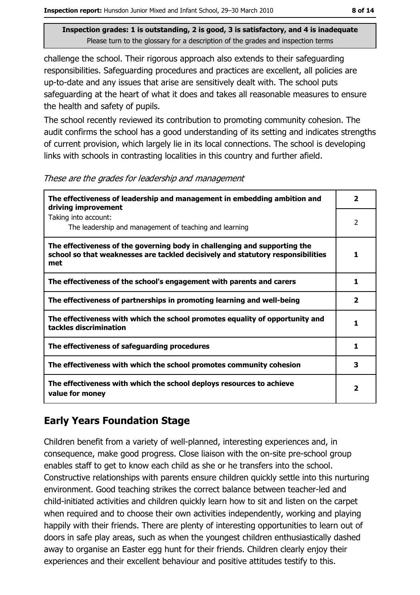challenge the school. Their rigorous approach also extends to their safeguarding responsibilities. Safeguarding procedures and practices are excellent, all policies are up-to-date and any issues that arise are sensitively dealt with. The school puts safeguarding at the heart of what it does and takes all reasonable measures to ensure the health and safety of pupils.

The school recently reviewed its contribution to promoting community cohesion. The audit confirms the school has a good understanding of its setting and indicates strengths of current provision, which largely lie in its local connections. The school is developing links with schools in contrasting localities in this country and further afield.

These are the grades for leadership and management

| The effectiveness of leadership and management in embedding ambition and<br>driving improvement                                                                     | 2                        |
|---------------------------------------------------------------------------------------------------------------------------------------------------------------------|--------------------------|
| Taking into account:<br>The leadership and management of teaching and learning                                                                                      | $\overline{\phantom{a}}$ |
| The effectiveness of the governing body in challenging and supporting the<br>school so that weaknesses are tackled decisively and statutory responsibilities<br>met | 1                        |
| The effectiveness of the school's engagement with parents and carers                                                                                                | 1                        |
| The effectiveness of partnerships in promoting learning and well-being                                                                                              | $\overline{\mathbf{2}}$  |
| The effectiveness with which the school promotes equality of opportunity and<br>tackles discrimination                                                              |                          |
| The effectiveness of safeguarding procedures                                                                                                                        | 1                        |
| The effectiveness with which the school promotes community cohesion                                                                                                 | 3                        |
| The effectiveness with which the school deploys resources to achieve<br>value for money                                                                             | 2                        |

## **Early Years Foundation Stage**

Children benefit from a variety of well-planned, interesting experiences and, in consequence, make good progress. Close liaison with the on-site pre-school group enables staff to get to know each child as she or he transfers into the school. Constructive relationships with parents ensure children quickly settle into this nurturing environment. Good teaching strikes the correct balance between teacher-led and child-initiated activities and children quickly learn how to sit and listen on the carpet when required and to choose their own activities independently, working and playing happily with their friends. There are plenty of interesting opportunities to learn out of doors in safe play areas, such as when the youngest children enthusiastically dashed away to organise an Easter egg hunt for their friends. Children clearly enjoy their experiences and their excellent behaviour and positive attitudes testify to this.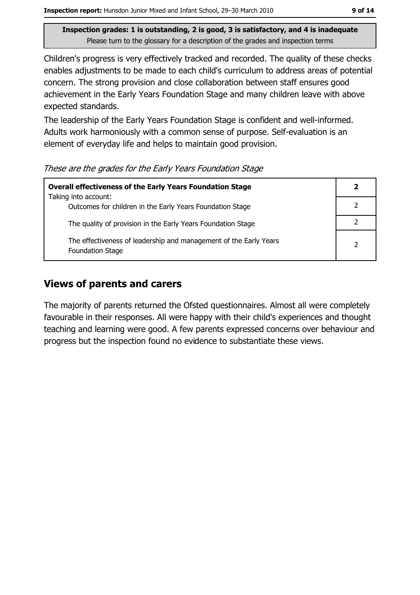Children's progress is very effectively tracked and recorded. The quality of these checks enables adjustments to be made to each child's curriculum to address areas of potential concern. The strong provision and close collaboration between staff ensures good achievement in the Early Years Foundation Stage and many children leave with above expected standards.

The leadership of the Early Years Foundation Stage is confident and well-informed. Adults work harmoniously with a common sense of purpose. Self-evaluation is an element of everyday life and helps to maintain good provision.

These are the grades for the Early Years Foundation Stage

| <b>Overall effectiveness of the Early Years Foundation Stage</b>                             | 2 |
|----------------------------------------------------------------------------------------------|---|
| Taking into account:<br>Outcomes for children in the Early Years Foundation Stage            |   |
| The quality of provision in the Early Years Foundation Stage                                 |   |
| The effectiveness of leadership and management of the Early Years<br><b>Foundation Stage</b> | 2 |

## **Views of parents and carers**

The majority of parents returned the Ofsted questionnaires. Almost all were completely favourable in their responses. All were happy with their child's experiences and thought teaching and learning were good. A few parents expressed concerns over behaviour and progress but the inspection found no evidence to substantiate these views.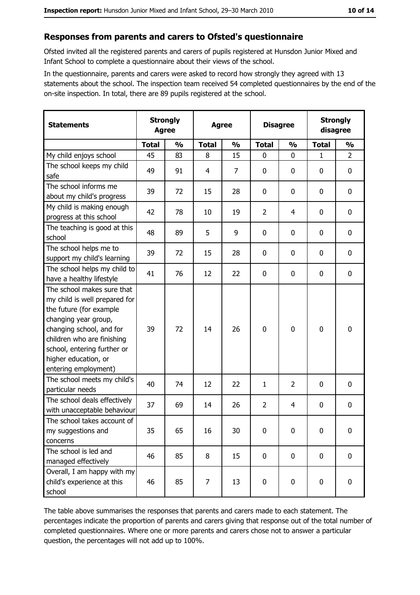#### Responses from parents and carers to Ofsted's questionnaire

Ofsted invited all the registered parents and carers of pupils registered at Hunsdon Junior Mixed and Infant School to complete a questionnaire about their views of the school.

In the questionnaire, parents and carers were asked to record how strongly they agreed with 13 statements about the school. The inspection team received 54 completed questionnaires by the end of the on-site inspection. In total, there are 89 pupils registered at the school.

| <b>Statements</b>                                                                                                                                                                                                                                       | <b>Strongly</b><br><b>Agree</b> |               | <b>Agree</b> |                |                | <b>Disagree</b> |              | <b>Strongly</b><br>disagree |  |
|---------------------------------------------------------------------------------------------------------------------------------------------------------------------------------------------------------------------------------------------------------|---------------------------------|---------------|--------------|----------------|----------------|-----------------|--------------|-----------------------------|--|
|                                                                                                                                                                                                                                                         | <b>Total</b>                    | $\frac{1}{2}$ | <b>Total</b> | $\frac{0}{0}$  | <b>Total</b>   | $\frac{0}{0}$   | <b>Total</b> | $\frac{0}{0}$               |  |
| My child enjoys school                                                                                                                                                                                                                                  | 45                              | 83            | 8            | 15             | $\mathbf 0$    | 0               | 1            | $\overline{2}$              |  |
| The school keeps my child<br>safe                                                                                                                                                                                                                       | 49                              | 91            | 4            | $\overline{7}$ | $\mathbf 0$    | 0               | 0            | $\mathbf 0$                 |  |
| The school informs me<br>about my child's progress                                                                                                                                                                                                      | 39                              | 72            | 15           | 28             | 0              | 0               | 0            | 0                           |  |
| My child is making enough<br>progress at this school                                                                                                                                                                                                    | 42                              | 78            | 10           | 19             | $\overline{2}$ | 4               | 0            | $\mathbf 0$                 |  |
| The teaching is good at this<br>school                                                                                                                                                                                                                  | 48                              | 89            | 5            | 9              | 0              | 0               | 0            | $\mathbf 0$                 |  |
| The school helps me to<br>support my child's learning                                                                                                                                                                                                   | 39                              | 72            | 15           | 28             | 0              | 0               | 0            | $\mathbf 0$                 |  |
| The school helps my child to<br>have a healthy lifestyle                                                                                                                                                                                                | 41                              | 76            | 12           | 22             | $\mathbf 0$    | 0               | 0            | $\mathbf 0$                 |  |
| The school makes sure that<br>my child is well prepared for<br>the future (for example<br>changing year group,<br>changing school, and for<br>children who are finishing<br>school, entering further or<br>higher education, or<br>entering employment) | 39                              | 72            | 14           | 26             | $\mathbf 0$    | 0               | 0            | $\mathbf 0$                 |  |
| The school meets my child's<br>particular needs                                                                                                                                                                                                         | 40                              | 74            | 12           | 22             | $\mathbf{1}$   | $\overline{2}$  | 0            | $\boldsymbol{0}$            |  |
| The school deals effectively<br>with unacceptable behaviour                                                                                                                                                                                             | 37                              | 69            | 14           | 26             | $\overline{2}$ | 4               | 0            | 0                           |  |
| The school takes account of<br>my suggestions and<br>concerns                                                                                                                                                                                           | 35                              | 65            | 16           | 30             | $\mathbf 0$    | 0               | $\mathbf 0$  | $\mathbf 0$                 |  |
| The school is led and<br>managed effectively                                                                                                                                                                                                            | 46                              | 85            | 8            | 15             | $\mathbf 0$    | 0               | 0            | $\mathbf 0$                 |  |
| Overall, I am happy with my<br>child's experience at this<br>school                                                                                                                                                                                     | 46                              | 85            | 7            | 13             | $\bf{0}$       | 0               | 0            | 0                           |  |

The table above summarises the responses that parents and carers made to each statement. The percentages indicate the proportion of parents and carers giving that response out of the total number of completed questionnaires. Where one or more parents and carers chose not to answer a particular question, the percentages will not add up to 100%.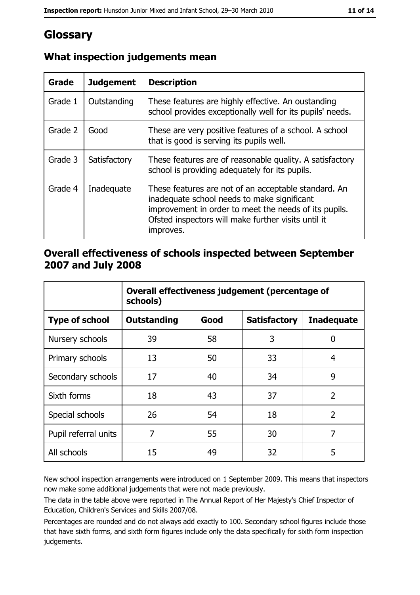# Glossary

| <b>Grade</b> | <b>Judgement</b> | <b>Description</b>                                                                                                                                                                                                               |
|--------------|------------------|----------------------------------------------------------------------------------------------------------------------------------------------------------------------------------------------------------------------------------|
| Grade 1      | Outstanding      | These features are highly effective. An oustanding<br>school provides exceptionally well for its pupils' needs.                                                                                                                  |
| Grade 2      | Good             | These are very positive features of a school. A school<br>that is good is serving its pupils well.                                                                                                                               |
| Grade 3      | Satisfactory     | These features are of reasonable quality. A satisfactory<br>school is providing adequately for its pupils.                                                                                                                       |
| Grade 4      | Inadequate       | These features are not of an acceptable standard. An<br>inadequate school needs to make significant<br>improvement in order to meet the needs of its pupils.<br>Ofsted inspectors will make further visits until it<br>improves. |

# What inspection judgements mean

## Overall effectiveness of schools inspected between September 2007 and July 2008

|                       | Overall effectiveness judgement (percentage of<br>schools) |      |                     |                   |
|-----------------------|------------------------------------------------------------|------|---------------------|-------------------|
| <b>Type of school</b> | Outstanding                                                | Good | <b>Satisfactory</b> | <b>Inadequate</b> |
| Nursery schools       | 39                                                         | 58   | 3                   | 0                 |
| Primary schools       | 13                                                         | 50   | 33                  | 4                 |
| Secondary schools     | 17                                                         | 40   | 34                  | 9                 |
| Sixth forms           | 18                                                         | 43   | 37                  | $\overline{2}$    |
| Special schools       | 26                                                         | 54   | 18                  | $\overline{2}$    |
| Pupil referral units  | 7                                                          | 55   | 30                  | 7                 |
| All schools           | 15                                                         | 49   | 32                  | 5                 |

New school inspection arrangements were introduced on 1 September 2009. This means that inspectors now make some additional judgements that were not made previously.

The data in the table above were reported in The Annual Report of Her Majesty's Chief Inspector of Education, Children's Services and Skills 2007/08.

Percentages are rounded and do not always add exactly to 100. Secondary school figures include those that have sixth forms, and sixth form figures include only the data specifically for sixth form inspection judgements.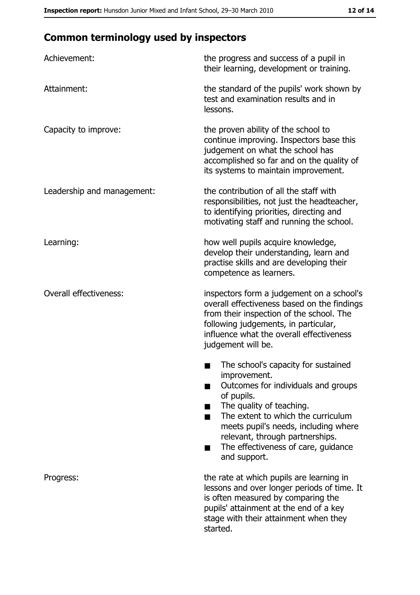# **Common terminology used by inspectors**

| Achievement:                  | the progress and success of a pupil in<br>their learning, development or training.                                                                                                                                                                                                                           |
|-------------------------------|--------------------------------------------------------------------------------------------------------------------------------------------------------------------------------------------------------------------------------------------------------------------------------------------------------------|
| Attainment:                   | the standard of the pupils' work shown by<br>test and examination results and in<br>lessons.                                                                                                                                                                                                                 |
| Capacity to improve:          | the proven ability of the school to<br>continue improving. Inspectors base this<br>judgement on what the school has<br>accomplished so far and on the quality of<br>its systems to maintain improvement.                                                                                                     |
| Leadership and management:    | the contribution of all the staff with<br>responsibilities, not just the headteacher,<br>to identifying priorities, directing and<br>motivating staff and running the school.                                                                                                                                |
| Learning:                     | how well pupils acquire knowledge,<br>develop their understanding, learn and<br>practise skills and are developing their<br>competence as learners.                                                                                                                                                          |
| <b>Overall effectiveness:</b> | inspectors form a judgement on a school's<br>overall effectiveness based on the findings<br>from their inspection of the school. The<br>following judgements, in particular,<br>influence what the overall effectiveness<br>judgement will be.                                                               |
|                               | The school's capacity for sustained<br>improvement.<br>Outcomes for individuals and groups<br>of pupils.<br>The quality of teaching.<br>The extent to which the curriculum<br>meets pupil's needs, including where<br>relevant, through partnerships.<br>The effectiveness of care, guidance<br>and support. |
| Progress:                     | the rate at which pupils are learning in<br>lessons and over longer periods of time. It<br>is often measured by comparing the<br>pupils' attainment at the end of a key<br>stage with their attainment when they<br>started.                                                                                 |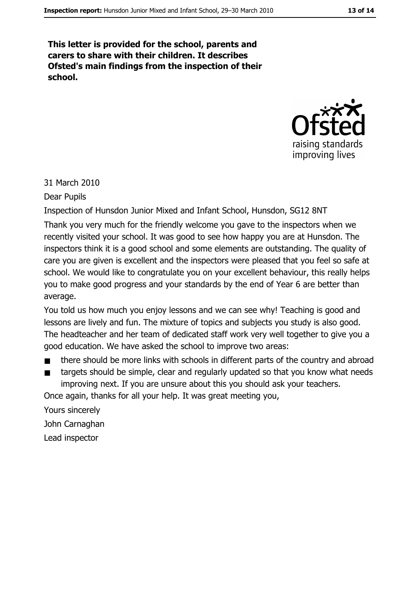This letter is provided for the school, parents and carers to share with their children. It describes Ofsted's main findings from the inspection of their school.



#### 31 March 2010

**Dear Pupils** 

Inspection of Hunsdon Junior Mixed and Infant School, Hunsdon, SG12 8NT

Thank you very much for the friendly welcome you gave to the inspectors when we recently visited your school. It was good to see how happy you are at Hunsdon. The inspectors think it is a good school and some elements are outstanding. The quality of care you are given is excellent and the inspectors were pleased that you feel so safe at school. We would like to congratulate you on your excellent behaviour, this really helps you to make good progress and your standards by the end of Year 6 are better than average.

You told us how much you enjoy lessons and we can see why! Teaching is good and lessons are lively and fun. The mixture of topics and subjects you study is also good. The headteacher and her team of dedicated staff work very well together to give you a good education. We have asked the school to improve two areas:

- there should be more links with schools in different parts of the country and abroad  $\blacksquare$
- targets should be simple, clear and regularly updated so that you know what needs  $\blacksquare$ improving next. If you are unsure about this you should ask your teachers.

Once again, thanks for all your help. It was great meeting you,

Yours sincerely

John Carnaghan

Lead inspector